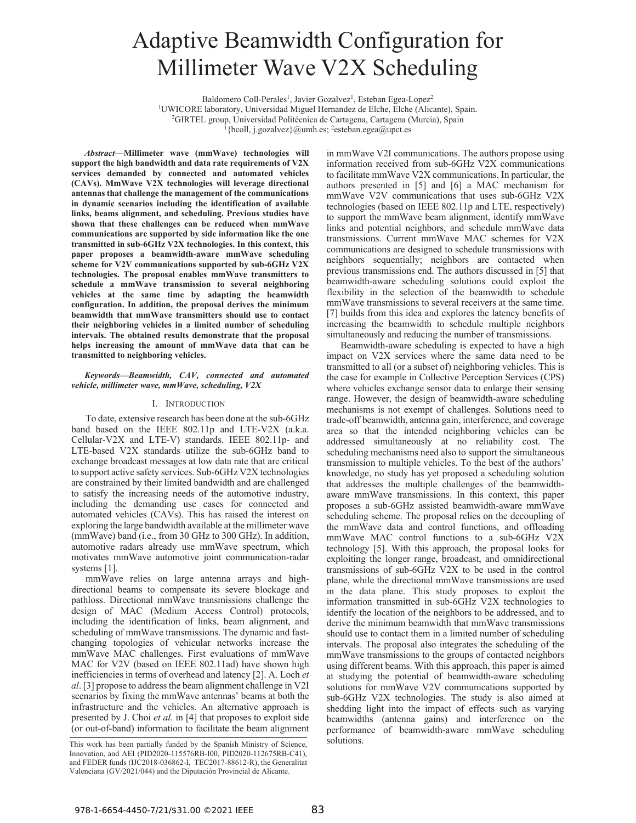# Adaptive Beamwidth Configuration for Millimeter Wave V2X Scheduling

Baldomero Coll-Perales<sup>1</sup>, Javier Gozalvez<sup>1</sup>, Esteban Egea-Lopez<sup>2</sup> <sup>1</sup>UWICORE laboratory, Universidad Miguel Hernandez de Elche, Elche (Alicante), Spain. <sup>2</sup>GIRTEL group, Universidad Politécnica de Cartagena, Cartagena (Murcia), Spain  $\left\{ \frac{1}{2} \times \frac{1}{2}$  (bcoll, j.gozalvez}@umh.es; <sup>2</sup>esteban.egea@upct.es

*Abstract***—Millimeter wave (mmWave) technologies will support the high bandwidth and data rate requirements of V2X services demanded by connected and automated vehicles (CAVs). MmWave V2X technologies will leverage directional antennas that challenge the management of the communications in dynamic scenarios including the identification of available links, beams alignment, and scheduling. Previous studies have shown that these challenges can be reduced when mmWave communications are supported by side information like the one transmitted in sub-6GHz V2X technologies. In this context, this paper proposes a beamwidth-aware mmWave scheduling scheme for V2V communications supported by sub-6GHz V2X technologies. The proposal enables mmWave transmitters to schedule a mmWave transmission to several neighboring vehicles at the same time by adapting the beamwidth configuration. In addition, the proposal derives the minimum beamwidth that mmWave transmitters should use to contact their neighboring vehicles in a limited number of scheduling intervals. The obtained results demonstrate that the proposal helps increasing the amount of mmWave data that can be transmitted to neighboring vehicles.** 

### *Keywords—Beamwidth, CAV, connected and automated vehicle, millimeter wave, mmWave, scheduling, V2X*

# I. INTRODUCTION

To date, extensive research has been done at the sub-6GHz band based on the IEEE 802.11p and LTE-V2X (a.k.a. Cellular-V2X and LTE-V) standards. IEEE 802.11p- and LTE-based V2X standards utilize the sub-6GHz band to exchange broadcast messages at low data rate that are critical to support active safety services. Sub-6GHz V2X technologies are constrained by their limited bandwidth and are challenged to satisfy the increasing needs of the automotive industry, including the demanding use cases for connected and automated vehicles (CAVs). This has raised the interest on exploring the large bandwidth available at the millimeter wave (mmWave) band (i.e., from 30 GHz to 300 GHz). In addition, automotive radars already use mmWave spectrum, which motivates mmWave automotive joint communication-radar systems [1].

mmWave relies on large antenna arrays and highdirectional beams to compensate its severe blockage and pathloss. Directional mmWave transmissions challenge the design of MAC (Medium Access Control) protocols, including the identification of links, beam alignment, and scheduling of mmWave transmissions. The dynamic and fastchanging topologies of vehicular networks increase the mmWave MAC challenges. First evaluations of mmWave MAC for V2V (based on IEEE 802.11ad) have shown high inefficiencies in terms of overhead and latency [2]. A. Loch *et al*. [3] propose to address the beam alignment challenge in V2I scenarios by fixing the mmWave antennas' beams at both the infrastructure and the vehicles. An alternative approach is presented by J. Choi *et al*. in [4] that proposes to exploit side (or out-of-band) information to facilitate the beam alignment in mmWave V2I communications. The authors propose using information received from sub-6GHz V2X communications to facilitate mmWave V2X communications. In particular, the authors presented in [5] and [6] a MAC mechanism for mmWave V2V communications that uses sub-6GHz V2X technologies (based on IEEE 802.11p and LTE, respectively) to support the mmWave beam alignment, identify mmWave links and potential neighbors, and schedule mmWave data transmissions. Current mmWave MAC schemes for V2X communications are designed to schedule transmissions with neighbors sequentially; neighbors are contacted when previous transmissions end. The authors discussed in [5] that beamwidth-aware scheduling solutions could exploit the flexibility in the selection of the beamwidth to schedule mmWave transmissions to several receivers at the same time. [7] builds from this idea and explores the latency benefits of increasing the beamwidth to schedule multiple neighbors simultaneously and reducing the number of transmissions.

Beamwidth-aware scheduling is expected to have a high impact on V2X services where the same data need to be transmitted to all (or a subset of) neighboring vehicles. This is the case for example in Collective Perception Services (CPS) where vehicles exchange sensor data to enlarge their sensing range. However, the design of beamwidth-aware scheduling mechanisms is not exempt of challenges. Solutions need to trade-off beamwidth, antenna gain, interference, and coverage area so that the intended neighboring vehicles can be addressed simultaneously at no reliability cost. The scheduling mechanisms need also to support the simultaneous transmission to multiple vehicles. To the best of the authors' knowledge, no study has yet proposed a scheduling solution that addresses the multiple challenges of the beamwidthaware mmWave transmissions. In this context, this paper proposes a sub-6GHz assisted beamwidth-aware mmWave scheduling scheme. The proposal relies on the decoupling of the mmWave data and control functions, and offloading mmWave MAC control functions to a sub-6GHz V2X technology [5]. With this approach, the proposal looks for exploiting the longer range, broadcast, and omnidirectional transmissions of sub-6GHz V2X to be used in the control plane, while the directional mmWave transmissions are used in the data plane. This study proposes to exploit the information transmitted in sub-6GHz V2X technologies to identify the location of the neighbors to be addressed, and to derive the minimum beamwidth that mmWave transmissions should use to contact them in a limited number of scheduling intervals. The proposal also integrates the scheduling of the mmWave transmissions to the groups of contacted neighbors using different beams. With this approach, this paper is aimed at studying the potential of beamwidth-aware scheduling solutions for mmWave V2V communications supported by sub-6GHz V2X technologies. The study is also aimed at shedding light into the impact of effects such as varying beamwidths (antenna gains) and interference on the performance of beamwidth-aware mmWave scheduling

This work has been partially funded by the Spanish Ministry of Science, solutions. Innovation, and AEI (PID2020-115576RB-I00, PID2020-112675RB-C41), and FEDER funds (IJC2018-036862-I, TEC2017-88612-R), the Generalitat Valenciana (GV/2021/044) and the Diputación Provincial de Alicante.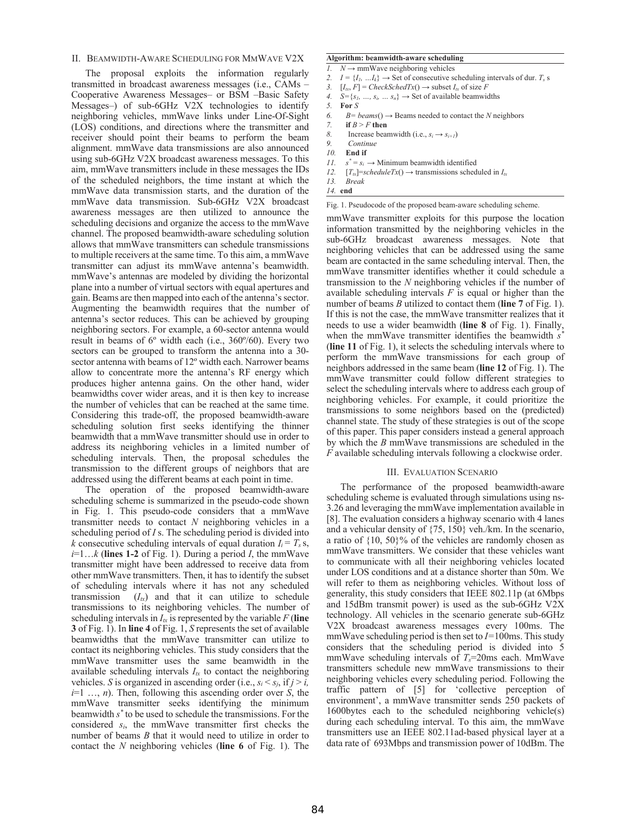## II. BEAMWIDTH-AWARE SCHEDULING FOR MMWAVE V2X

The proposal exploits the information regularly transmitted in broadcast awareness messages (i.e., CAMs – Cooperative Awareness Messages– or BSM –Basic Safety Messages–) of sub-6GHz V2X technologies to identify neighboring vehicles, mmWave links under Line-Of-Sight (LOS) conditions, and directions where the transmitter and receiver should point their beams to perform the beam alignment. mmWave data transmissions are also announced using sub-6GHz V2X broadcast awareness messages. To this aim, mmWave transmitters include in these messages the IDs of the scheduled neighbors, the time instant at which the mmWave data transmission starts, and the duration of the mmWave data transmission. Sub-6GHz V2X broadcast awareness messages are then utilized to announce the scheduling decisions and organize the access to the mmWave channel. The proposed beamwidth-aware scheduling solution allows that mmWave transmitters can schedule transmissions to multiple receivers at the same time. To this aim, a mmWave transmitter can adjust its mmWave antenna's beamwidth. mmWave's antennas are modeled by dividing the horizontal plane into a number of virtual sectors with equal apertures and gain. Beams are then mapped into each of the antenna's sector. Augmenting the beamwidth requires that the number of antenna's sector reduces. This can be achieved by grouping neighboring sectors. For example, a 60-sector antenna would result in beams of 6º width each (i.e., 360º/60). Every two sectors can be grouped to transform the antenna into a 30 sector antenna with beams of 12º width each. Narrower beams allow to concentrate more the antenna's RF energy which produces higher antenna gains. On the other hand, wider beamwidths cover wider areas, and it is then key to increase the number of vehicles that can be reached at the same time. Considering this trade-off, the proposed beamwidth-aware scheduling solution first seeks identifying the thinner beamwidth that a mmWave transmitter should use in order to address its neighboring vehicles in a limited number of scheduling intervals. Then, the proposal schedules the transmission to the different groups of neighbors that are addressed using the different beams at each point in time.

The operation of the proposed beamwidth-aware scheduling scheme is summarized in the pseudo-code shown in Fig. 1. This pseudo-code considers that a mmWave transmitter needs to contact *N* neighboring vehicles in a scheduling period of *I* s. The scheduling period is divided into *k* consecutive scheduling intervals of equal duration  $I_i = T_s$  s,  $i=1...k$  (lines 1-2 of Fig. 1). During a period *I*, the mmWave transmitter might have been addressed to receive data from other mmWave transmitters. Then, it has to identify the subset of scheduling intervals where it has not any scheduled transmission  $(I_{tx})$  and that it can utilize to schedule transmissions to its neighboring vehicles. The number of scheduling intervals in  $I_{tx}$  is represented by the variable  $F$  (line **3** of Fig. 1). In **line 4** of Fig. 1, *S* represents the set of available beamwidths that the mmWave transmitter can utilize to contact its neighboring vehicles. This study considers that the mmWave transmitter uses the same beamwidth in the available scheduling intervals  $I_{tx}$  to contact the neighboring vehicles. *S* is organized in ascending order (i.e.,  $s_i < s_j$ , if  $j > i$ , *i*=1 …, *n*). Then, following this ascending order over *S*, the mmWave transmitter seeks identifying the minimum beamwidth *s\** to be used to schedule the transmissions. For the considered *si*, the mmWave transmitter first checks the number of beams *B* that it would need to utilize in order to contact the *N* neighboring vehicles (**line 6** of Fig. 1). The

## **Algorithm: beamwidth-aware scheduling**

- *I.*  $N \rightarrow \text{mmWave neighboring vehicles}$
- 2.  $I = \{I_1, \ldots, I_k\} \rightarrow$  Set of consecutive scheduling intervals of dur.  $T_s$  s
- 3.  $[I_{tx}, F] = CheckSchedTx() \rightarrow subset I_{tx}$  of size *F*
- 4.  $S = \{s_1, ..., s_i, ..., s_n\} \rightarrow \text{Set of available beamwidths}$
- *5.* **For** *S*
- 6. *B*= *beams*( $) \rightarrow$  Beams needed to contact the *N* neighbors
- *7.* **if** *B* > *F* **then**
- *8.* Increase beamwidth (i.e.,  $s_i \rightarrow s_{i+1}$ )
- *9. Continue*
- *10.* **End if**
- *11. s\**  $s^* = s_i \rightarrow$  Minimum beamwidth identified
- 12.  $[T_{xx}]$ =scheduleTx()  $\rightarrow$  transmissions scheduled in  $I_{tx}$ <br>13 *Break*
- *13. Break 14.* **end**

Fig. 1. Pseudocode of the proposed beam-aware scheduling scheme.

mmWave transmitter exploits for this purpose the location information transmitted by the neighboring vehicles in the sub-6GHz broadcast awareness messages. Note that neighboring vehicles that can be addressed using the same beam are contacted in the same scheduling interval. Then, the mmWave transmitter identifies whether it could schedule a transmission to the *N* neighboring vehicles if the number of available scheduling intervals *F* is equal or higher than the number of beams *B* utilized to contact them (**line 7** of Fig. 1). If this is not the case, the mmWave transmitter realizes that it needs to use a wider beamwidth (**line 8** of Fig. 1). Finally, when the mmWave transmitter identifies the beamwidth *s\** (**line 11** of Fig. 1), it selects the scheduling intervals where to perform the mmWave transmissions for each group of neighbors addressed in the same beam (**line 12** of Fig. 1). The mmWave transmitter could follow different strategies to select the scheduling intervals where to address each group of neighboring vehicles. For example, it could prioritize the transmissions to some neighbors based on the (predicted) channel state. The study of these strategies is out of the scope of this paper. This paper considers instead a general approach by which the *B* mmWave transmissions are scheduled in the *F* available scheduling intervals following a clockwise order.

#### III. EVALUATION SCENARIO

The performance of the proposed beamwidth-aware scheduling scheme is evaluated through simulations using ns-3.26 and leveraging the mmWave implementation available in [8]. The evaluation considers a highway scenario with 4 lanes and a vehicular density of {75, 150} veh./km. In the scenario, a ratio of {10, 50}% of the vehicles are randomly chosen as mmWave transmitters. We consider that these vehicles want to communicate with all their neighboring vehicles located under LOS conditions and at a distance shorter than 50m. We will refer to them as neighboring vehicles. Without loss of generality, this study considers that IEEE 802.11p (at 6Mbps and 15dBm transmit power) is used as the sub-6GHz V2X technology. All vehicles in the scenario generate sub-6GHz V2X broadcast awareness messages every 100ms. The mmWave scheduling period is then set to *I=*100ms. This study considers that the scheduling period is divided into 5 mmWave scheduling intervals of *Ts*=20ms each. MmWave transmitters schedule new mmWave transmissions to their neighboring vehicles every scheduling period. Following the traffic pattern of [5] for 'collective perception of environment', a mmWave transmitter sends 250 packets of 1600bytes each to the scheduled neighboring vehicle(s) during each scheduling interval. To this aim, the mmWave transmitters use an IEEE 802.11ad-based physical layer at a data rate of 693Mbps and transmission power of 10dBm. The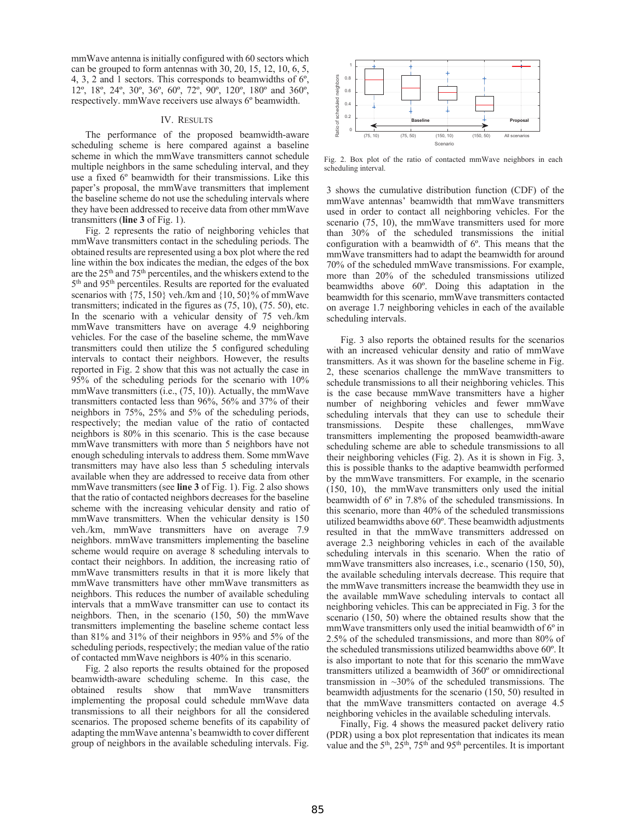mmWave antenna is initially configured with 60 sectors which can be grouped to form antennas with 30, 20, 15, 12, 10, 6, 5, 4, 3, 2 and 1 sectors. This corresponds to beamwidths of 6º, 12º, 18º, 24º, 30º, 36º, 60º, 72º, 90º, 120º, 180º and 360º, respectively. mmWave receivers use always 6º beamwidth.

### IV. RESULTS

The performance of the proposed beamwidth-aware scheduling scheme is here compared against a baseline scheme in which the mmWave transmitters cannot schedule multiple neighbors in the same scheduling interval, and they use a fixed 6º beamwidth for their transmissions. Like this paper's proposal, the mmWave transmitters that implement the baseline scheme do not use the scheduling intervals where they have been addressed to receive data from other mmWave transmitters (**line 3** of Fig. 1).

Fig. 2 represents the ratio of neighboring vehicles that mmWave transmitters contact in the scheduling periods. The obtained results are represented using a box plot where the red line within the box indicates the median, the edges of the box are the 25th and 75th percentiles, and the whiskers extend to the 5th and 95th percentiles. Results are reported for the evaluated scenarios with  $\{75, 150\}$  veh./km and  $\{10, 50\}$ % of mmWave transmitters; indicated in the figures as (75, 10), (75. 50), etc. In the scenario with a vehicular density of 75 veh./km mmWave transmitters have on average 4.9 neighboring vehicles. For the case of the baseline scheme, the mmWave transmitters could then utilize the 5 configured scheduling intervals to contact their neighbors. However, the results reported in Fig. 2 show that this was not actually the case in 95% of the scheduling periods for the scenario with 10% mmWave transmitters (i.e., (75, 10)). Actually, the mmWave transmitters contacted less than 96%, 56% and 37% of their neighbors in 75%, 25% and 5% of the scheduling periods, respectively; the median value of the ratio of contacted neighbors is 80% in this scenario. This is the case because mmWave transmitters with more than 5 neighbors have not enough scheduling intervals to address them. Some mmWave transmitters may have also less than 5 scheduling intervals available when they are addressed to receive data from other mmWave transmitters (see **line 3** of Fig. 1). Fig. 2 also shows that the ratio of contacted neighbors decreases for the baseline scheme with the increasing vehicular density and ratio of mmWave transmitters. When the vehicular density is 150 veh./km, mmWave transmitters have on average 7.9 neighbors. mmWave transmitters implementing the baseline scheme would require on average 8 scheduling intervals to contact their neighbors. In addition, the increasing ratio of mmWave transmitters results in that it is more likely that mmWave transmitters have other mmWave transmitters as neighbors. This reduces the number of available scheduling intervals that a mmWave transmitter can use to contact its neighbors. Then, in the scenario (150, 50) the mmWave transmitters implementing the baseline scheme contact less than 81% and 31% of their neighbors in 95% and 5% of the scheduling periods, respectively; the median value of the ratio of contacted mmWave neighbors is 40% in this scenario.

Fig. 2 also reports the results obtained for the proposed beamwidth-aware scheduling scheme. In this case, the obtained results show that mmWave transmitters implementing the proposal could schedule mmWave data transmissions to all their neighbors for all the considered scenarios. The proposed scheme benefits of its capability of adapting the mmWave antenna's beamwidth to cover different group of neighbors in the available scheduling intervals. Fig.



Fig. 2. Box plot of the ratio of contacted mmWave neighbors in each scheduling interval.

3 shows the cumulative distribution function (CDF) of the mmWave antennas' beamwidth that mmWave transmitters used in order to contact all neighboring vehicles. For the scenario (75, 10), the mmWave transmitters used for more than 30% of the scheduled transmissions the initial configuration with a beamwidth of 6º. This means that the mmWave transmitters had to adapt the beamwidth for around 70% of the scheduled mmWave transmissions. For example, more than 20% of the scheduled transmissions utilized beamwidths above 60º. Doing this adaptation in the beamwidth for this scenario, mmWave transmitters contacted on average 1.7 neighboring vehicles in each of the available scheduling intervals.

Fig. 3 also reports the obtained results for the scenarios with an increased vehicular density and ratio of mmWave transmitters. As it was shown for the baseline scheme in Fig. 2, these scenarios challenge the mmWave transmitters to schedule transmissions to all their neighboring vehicles. This is the case because mmWave transmitters have a higher number of neighboring vehicles and fewer mmWave scheduling intervals that they can use to schedule their transmissions. Despite these challenges, mmWave transmitters implementing the proposed beamwidth-aware scheduling scheme are able to schedule transmissions to all their neighboring vehicles (Fig. 2). As it is shown in Fig. 3, this is possible thanks to the adaptive beamwidth performed by the mmWave transmitters. For example, in the scenario (150, 10), the mmWave transmitters only used the initial beamwidth of 6º in 7.8% of the scheduled transmissions. In this scenario, more than 40% of the scheduled transmissions utilized beamwidths above 60º. These beamwidth adjustments resulted in that the mmWave transmitters addressed on average 2.3 neighboring vehicles in each of the available scheduling intervals in this scenario. When the ratio of mmWave transmitters also increases, i.e., scenario (150, 50), the available scheduling intervals decrease. This require that the mmWave transmitters increase the beamwidth they use in the available mmWave scheduling intervals to contact all neighboring vehicles. This can be appreciated in Fig. 3 for the scenario (150, 50) where the obtained results show that the mmWave transmitters only used the initial beamwidth of 6º in 2.5% of the scheduled transmissions, and more than 80% of the scheduled transmissions utilized beamwidths above 60º. It is also important to note that for this scenario the mmWave transmitters utilized a beamwidth of 360º or omnidirectional transmission in  $\sim$ 30% of the scheduled transmissions. The beamwidth adjustments for the scenario (150, 50) resulted in that the mmWave transmitters contacted on average 4.5 neighboring vehicles in the available scheduling intervals.

Finally, Fig. 4 shows the measured packet delivery ratio (PDR) using a box plot representation that indicates its mean value and the  $5<sup>th</sup>$ ,  $25<sup>th</sup>$ ,  $75<sup>th</sup>$  and  $95<sup>th</sup>$  percentiles. It is important